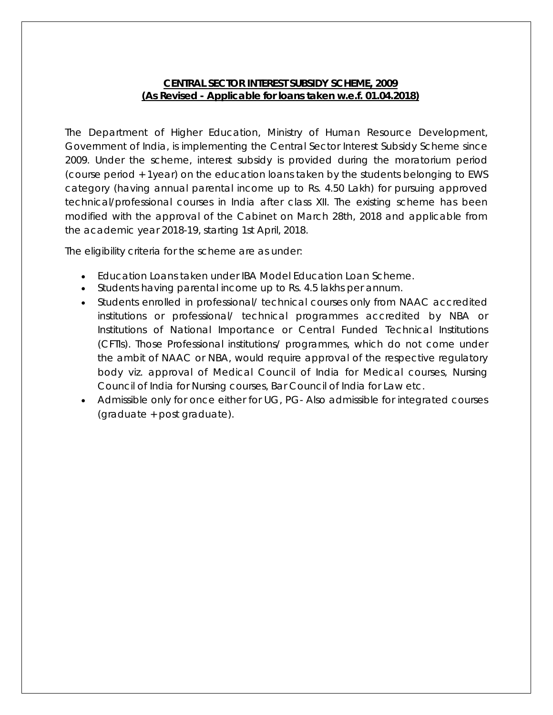### **CENTRAL SECTOR INTEREST SUBSIDY SCHEME, 2009 (As Revised - Applicable for loans taken w.e.f. 01.04.2018)**

The Department of Higher Education, Ministry of Human Resource Development, Government of India, is implementing the Central Sector Interest Subsidy Scheme since 2009. Under the scheme, interest subsidy is provided during the moratorium period (course period + 1year) on the education loans taken by the students belonging to EWS category (having annual parental income up to Rs. 4.50 Lakh) for pursuing approved technical/professional courses in India after class XII. The existing scheme has been modified with the approval of the Cabinet on March 28th, 2018 and applicable from the academic year 2018-19, starting 1st April, 2018.

The eligibility criteria for the scheme are as under:

- Education Loans taken under IBA Model Education Loan Scheme.
- Students having parental income up to Rs. 4.5 lakhs per annum.
- Students enrolled in professional/ technical courses only from NAAC accredited institutions or professional/ technical programmes accredited by NBA or Institutions of National Importance or Central Funded Technical Institutions (CFTIs). Those Professional institutions/ programmes, which do not come under the ambit of NAAC or NBA, would require approval of the respective regulatory body viz. approval of Medical Council of India for Medical courses, Nursing Council of India for Nursing courses, Bar Council of India for Law etc.
- Admissible only for once either for UG, PG- Also admissible for integrated courses (graduate + post graduate).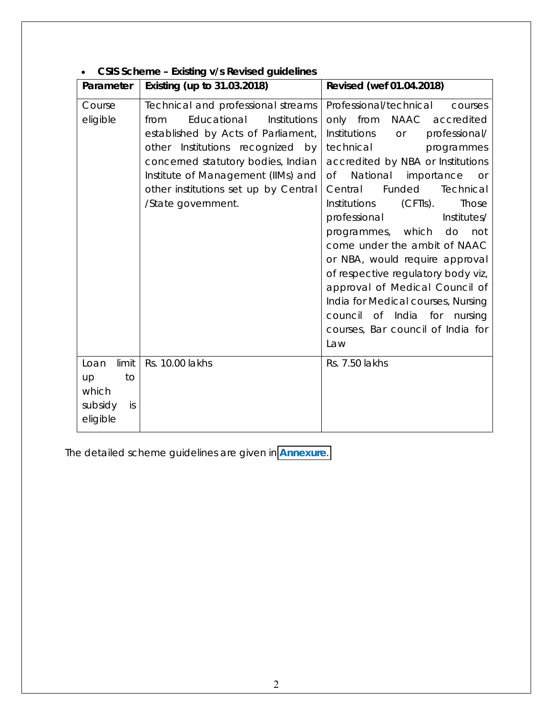| Parameter                                                       | Existing (up to 31.03.2018)                                                                                                                                                                                                                                                                   | Revised (wef 01.04.2018)                                                                                                                                                                                                                                                                                                                                                                                                                                                                                                                                                                                         |  |  |  |
|-----------------------------------------------------------------|-----------------------------------------------------------------------------------------------------------------------------------------------------------------------------------------------------------------------------------------------------------------------------------------------|------------------------------------------------------------------------------------------------------------------------------------------------------------------------------------------------------------------------------------------------------------------------------------------------------------------------------------------------------------------------------------------------------------------------------------------------------------------------------------------------------------------------------------------------------------------------------------------------------------------|--|--|--|
| Course<br>eligible                                              | Technical and professional streams<br>Educational<br>Institutions<br>from<br>established by Acts of Parliament,<br>other Institutions recognized by<br>concerned statutory bodies, Indian<br>Institute of Management (IIMs) and<br>other institutions set up by Central<br>/State government. | Professional/technical<br>courses<br>only from NAAC accredited<br>Institutions<br>professional/<br>or<br>technical<br>programmes<br>accredited by NBA or Institutions<br>National importance<br>Of<br><b>or</b><br>Funded<br>Central<br>Technical<br>Institutions<br>(CFTIs).<br>Those<br>Institutes/<br>professional<br>programmes, which do<br>not<br>come under the ambit of NAAC<br>or NBA, would require approval<br>of respective regulatory body viz,<br>approval of Medical Council of<br>India for Medical courses, Nursing<br>council of India for nursing<br>courses, Bar council of India for<br>Law |  |  |  |
| limit<br>Loan<br>to<br>up<br>which<br>subsidy<br>is<br>eligible | Rs. 10.00 lakhs                                                                                                                                                                                                                                                                               | Rs. 7.50 lakhs                                                                                                                                                                                                                                                                                                                                                                                                                                                                                                                                                                                                   |  |  |  |

### **CSIS Scheme – Existing v/s Revised guidelines**

The detailed scheme guidelines are given in **[Annexure](#page-2-0)**.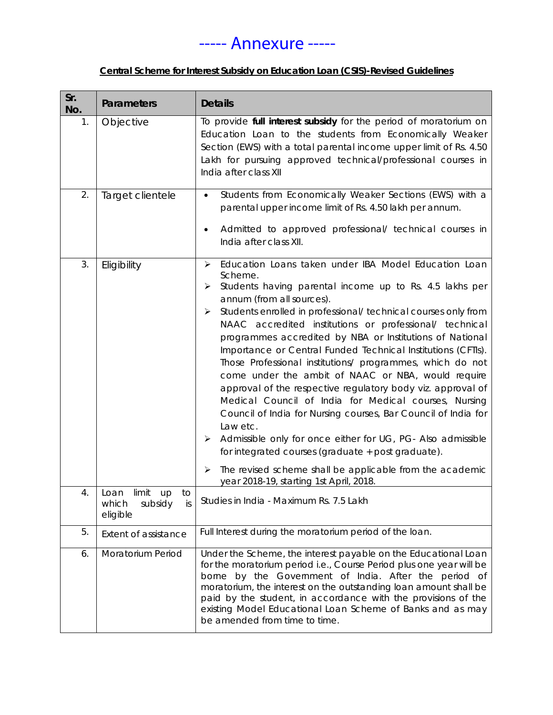# ----- Annexure -----

### **Central Scheme for Interest Subsidy on Education Loan (CSIS)-Revised Guidelines**

<span id="page-2-0"></span>

| Sr.<br>No. | <b>Parameters</b>                                             | <b>Details</b>                                                                                                                                                                                                                                                                                                                                                                                                                                                                                                                                                                                                                                                                                                                                                                                                                                                                                                                                                                                                     |  |  |
|------------|---------------------------------------------------------------|--------------------------------------------------------------------------------------------------------------------------------------------------------------------------------------------------------------------------------------------------------------------------------------------------------------------------------------------------------------------------------------------------------------------------------------------------------------------------------------------------------------------------------------------------------------------------------------------------------------------------------------------------------------------------------------------------------------------------------------------------------------------------------------------------------------------------------------------------------------------------------------------------------------------------------------------------------------------------------------------------------------------|--|--|
| 1.         | Objective                                                     | To provide full interest subsidy for the period of moratorium on<br>Education Loan to the students from Economically Weaker<br>Section (EWS) with a total parental income upper limit of Rs. 4.50<br>Lakh for pursuing approved technical/professional courses in<br>India after class XII                                                                                                                                                                                                                                                                                                                                                                                                                                                                                                                                                                                                                                                                                                                         |  |  |
| 2.         | Target clientele                                              | Students from Economically Weaker Sections (EWS) with a<br>$\bullet$<br>parental upper income limit of Rs. 4.50 lakh per annum.<br>Admitted to approved professional/ technical courses in<br>India after class XII.                                                                                                                                                                                                                                                                                                                                                                                                                                                                                                                                                                                                                                                                                                                                                                                               |  |  |
| 3.         | Eligibility                                                   | Education Loans taken under IBA Model Education Loan<br>$\blacktriangleright$<br>Scheme.<br>Students having parental income up to Rs. 4.5 lakhs per<br>➤<br>annum (from all sources).<br>Students enrolled in professional/ technical courses only from<br>➤<br>NAAC accredited institutions or professional/ technical<br>programmes accredited by NBA or Institutions of National<br>Importance or Central Funded Technical Institutions (CFTIs).<br>Those Professional institutions/ programmes, which do not<br>come under the ambit of NAAC or NBA, would require<br>approval of the respective regulatory body viz. approval of<br>Medical Council of India for Medical courses, Nursing<br>Council of India for Nursing courses, Bar Council of India for<br>Law etc.<br>Admissible only for once either for UG, PG- Also admissible<br>➤<br>for integrated courses (graduate + post graduate).<br>The revised scheme shall be applicable from the academic<br>≻<br>year 2018-19, starting 1st April, 2018. |  |  |
| 4.         | Loan limit up to<br>which<br>subsidy<br><i>is</i><br>eligible | Studies in India - Maximum Rs. 7.5 Lakh                                                                                                                                                                                                                                                                                                                                                                                                                                                                                                                                                                                                                                                                                                                                                                                                                                                                                                                                                                            |  |  |
| 5.         | Extent of assistance                                          | Full Interest during the moratorium period of the loan.                                                                                                                                                                                                                                                                                                                                                                                                                                                                                                                                                                                                                                                                                                                                                                                                                                                                                                                                                            |  |  |
| 6.         | Moratorium Period                                             | Under the Scheme, the interest payable on the Educational Loan<br>for the moratorium period i.e., Course Period plus one year will be<br>borne by the Government of India. After the period of<br>moratorium, the interest on the outstanding loan amount shall be<br>paid by the student, in accordance with the provisions of the<br>existing Model Educational Loan Scheme of Banks and as may<br>be amended from time to time.                                                                                                                                                                                                                                                                                                                                                                                                                                                                                                                                                                                 |  |  |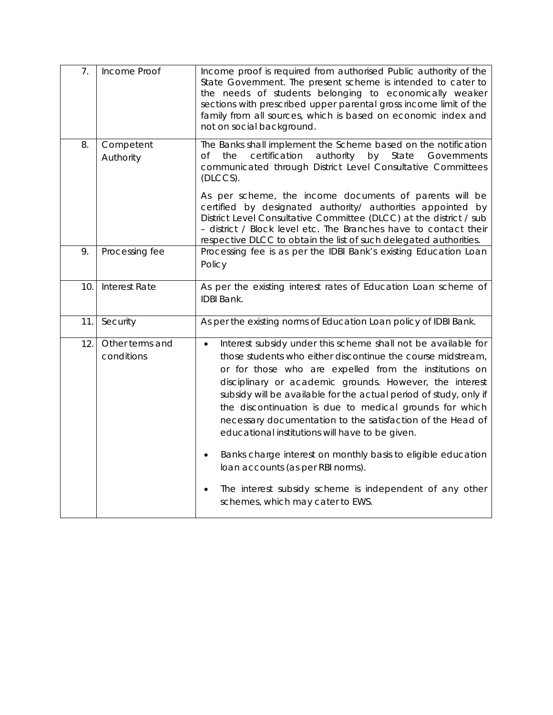| 7.  | Income Proof                  | Income proof is required from authorised Public authority of the<br>State Government. The present scheme is intended to cater to<br>the needs of students belonging to economically weaker<br>sections with prescribed upper parental gross income limit of the<br>family from all sources, which is based on economic index and<br>not on social background.                                                                                                                                      |  |  |
|-----|-------------------------------|----------------------------------------------------------------------------------------------------------------------------------------------------------------------------------------------------------------------------------------------------------------------------------------------------------------------------------------------------------------------------------------------------------------------------------------------------------------------------------------------------|--|--|
| 8.  | Competent<br>Authority        | The Banks shall implement the Scheme based on the notification<br>certification<br>authority<br>by<br>State<br>Of<br>the<br>Governments<br>communicated through District Level Consultative Committees<br>(DLCCS).                                                                                                                                                                                                                                                                                 |  |  |
|     |                               | As per scheme, the income documents of parents will be<br>certified by designated authority/ authorities appointed by<br>District Level Consultative Committee (DLCC) at the district / sub<br>- district / Block level etc. The Branches have to contact their<br>respective DLCC to obtain the list of such delegated authorities.                                                                                                                                                               |  |  |
| 9.  | Processing fee                | Processing fee is as per the IDBI Bank's existing Education Loan<br>Policy                                                                                                                                                                                                                                                                                                                                                                                                                         |  |  |
| 10. | Interest Rate                 | As per the existing interest rates of Education Loan scheme of<br>IDBI Bank.                                                                                                                                                                                                                                                                                                                                                                                                                       |  |  |
| 11. | Security                      | As per the existing norms of Education Loan policy of IDBI Bank.                                                                                                                                                                                                                                                                                                                                                                                                                                   |  |  |
| 12. | Other terms and<br>conditions | Interest subsidy under this scheme shall not be available for<br>those students who either discontinue the course midstream,<br>or for those who are expelled from the institutions on<br>disciplinary or academic grounds. However, the interest<br>subsidy will be available for the actual period of study, only if<br>the discontinuation is due to medical grounds for which<br>necessary documentation to the satisfaction of the Head of<br>educational institutions will have to be given. |  |  |
|     |                               | Banks charge interest on monthly basis to eligible education<br>loan accounts (as per RBI norms).                                                                                                                                                                                                                                                                                                                                                                                                  |  |  |
|     |                               | The interest subsidy scheme is independent of any other<br>schemes, which may cater to EWS.                                                                                                                                                                                                                                                                                                                                                                                                        |  |  |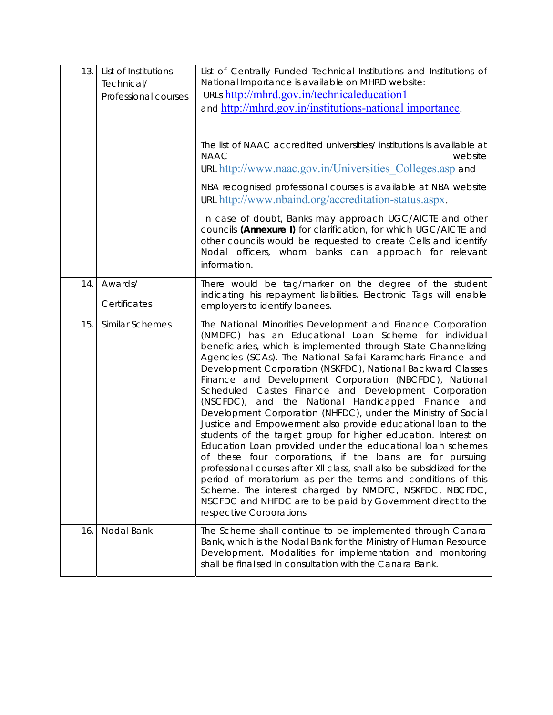| 13. | List of Institutions-<br>Technical/<br>Professional courses | List of Centrally Funded Technical Institutions and Institutions of<br>National Importance is available on MHRD website:<br>URLs http://mhrd.gov.in/technicaleducation1<br>and http://mhrd.gov.in/institutions-national importance.<br>The list of NAAC accredited universities/ institutions is available at<br><b>NAAC</b><br>website<br>URL http://www.naac.gov.in/Universities Colleges.asp and<br>NBA recognised professional courses is available at NBA website<br>URL http://www.nbaind.org/accreditation-status.aspx.<br>In case of doubt, Banks may approach UGC/AICTE and other<br>councils (Annexure I) for clarification, for which UGC/AICTE and<br>other councils would be requested to create Cells and identify<br>Nodal officers, whom banks can approach for relevant<br>information.                                                                                                                                                                                                                                                                                                                  |
|-----|-------------------------------------------------------------|---------------------------------------------------------------------------------------------------------------------------------------------------------------------------------------------------------------------------------------------------------------------------------------------------------------------------------------------------------------------------------------------------------------------------------------------------------------------------------------------------------------------------------------------------------------------------------------------------------------------------------------------------------------------------------------------------------------------------------------------------------------------------------------------------------------------------------------------------------------------------------------------------------------------------------------------------------------------------------------------------------------------------------------------------------------------------------------------------------------------------|
| 14. | Awards/<br>Certificates                                     | There would be tag/marker on the degree of the student<br>indicating his repayment liabilities. Electronic Tags will enable<br>employers to identify loanees.                                                                                                                                                                                                                                                                                                                                                                                                                                                                                                                                                                                                                                                                                                                                                                                                                                                                                                                                                             |
| 15. | Similar Schemes                                             | The National Minorities Development and Finance Corporation<br>(NMDFC) has an Educational Loan Scheme for individual<br>beneficiaries, which is implemented through State Channelizing<br>Agencies (SCAs). The National Safai Karamcharis Finance and<br>Development Corporation (NSKFDC), National Backward Classes<br>Finance and Development Corporation (NBCFDC), National<br>Scheduled Castes Finance and Development Corporation<br>(NSCFDC), and the National Handicapped Finance and<br>Development Corporation (NHFDC), under the Ministry of Social<br>Justice and Empowerment also provide educational loan to the<br>students of the target group for higher education. Interest on<br>Education Loan provided under the educational loan schemes<br>of these four corporations, if the loans are for pursuing<br>professional courses after XII class, shall also be subsidized for the<br>period of moratorium as per the terms and conditions of this<br>Scheme. The interest charged by NMDFC, NSKFDC, NBCFDC,<br>NSCFDC and NHFDC are to be paid by Government direct to the<br>respective Corporations. |
| 16. | Nodal Bank                                                  | The Scheme shall continue to be implemented through Canara<br>Bank, which is the Nodal Bank for the Ministry of Human Resource<br>Development. Modalities for implementation and monitoring<br>shall be finalised in consultation with the Canara Bank.                                                                                                                                                                                                                                                                                                                                                                                                                                                                                                                                                                                                                                                                                                                                                                                                                                                                   |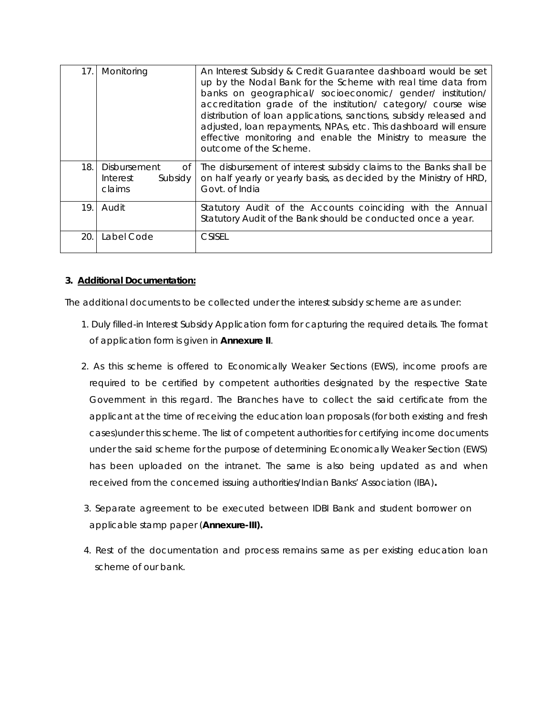| 17. | Monitoring                                          | An Interest Subsidy & Credit Guarantee dashboard would be set<br>up by the Nodal Bank for the Scheme with real time data from<br>banks on geographical/ socioeconomic/ gender/ institution/<br>accreditation grade of the institution/ category/ course wise<br>distribution of loan applications, sanctions, subsidy released and<br>adjusted, loan repayments, NPAs, etc. This dashboard will ensure<br>effective monitoring and enable the Ministry to measure the<br>outcome of the Scheme. |
|-----|-----------------------------------------------------|-------------------------------------------------------------------------------------------------------------------------------------------------------------------------------------------------------------------------------------------------------------------------------------------------------------------------------------------------------------------------------------------------------------------------------------------------------------------------------------------------|
| 18. | Disbursement<br>Οf<br>Interest<br>Subsidy<br>claims | The disbursement of interest subsidy claims to the Banks shall be<br>on half yearly or yearly basis, as decided by the Ministry of HRD,<br>Govt. of India                                                                                                                                                                                                                                                                                                                                       |
| 19. | Audit                                               | Statutory Audit of the Accounts coinciding with the Annual<br>Statutory Audit of the Bank should be conducted once a year.                                                                                                                                                                                                                                                                                                                                                                      |
| 20. | Label Code                                          | <b>CSISEL</b>                                                                                                                                                                                                                                                                                                                                                                                                                                                                                   |

### **3. Additional Documentation:**

The additional documents to be collected under the interest subsidy scheme are as under:

- 1. Duly filled-in Interest Subsidy Application form for capturing the required details. The format of application form is given in **Annexure II**.
- 2. As this scheme is offered to Economically Weaker Sections (EWS), income proofs are required to be certified by competent authorities designated by the respective State Government in this regard. The Branches have to collect the said certificate from the applicant at the time of receiving the education loan proposals (for both existing and fresh cases)under this scheme. The list of competent authorities for certifying income documents under the said scheme for the purpose of determining Economically Weaker Section (EWS) has been uploaded on the intranet. The same is also being updated as and when received from the concerned issuing authorities/Indian Banks' Association (IBA)**.**
- 3. Separate agreement to be executed between IDBI Bank and student borrower on applicable stamp paper (**Annexure-III).**
- 4. Rest of the documentation and process remains same as per existing education loan scheme of our bank.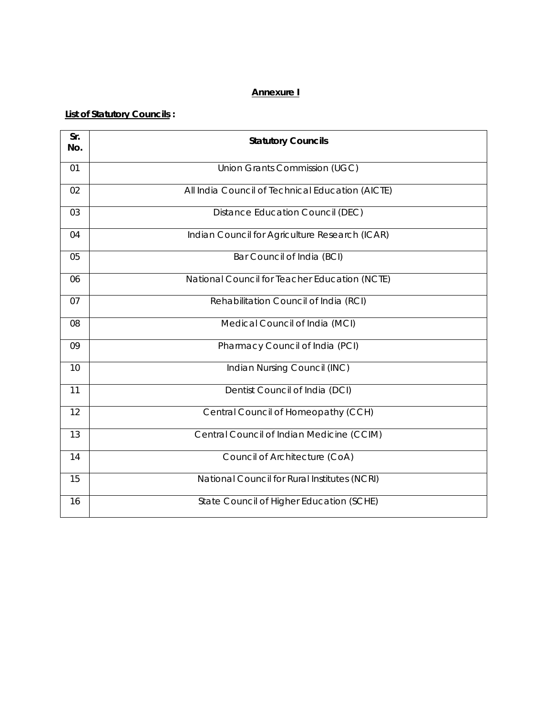### **Annexure I**

### **List of Statutory Councils :**

| Sr.<br>No. | <b>Statutory Councils</b>                        |
|------------|--------------------------------------------------|
| 01         | Union Grants Commission (UGC)                    |
| 02         | All India Council of Technical Education (AICTE) |
| 03         | <b>Distance Education Council (DEC)</b>          |
| 04         | Indian Council for Agriculture Research (ICAR)   |
| 05         | Bar Council of India (BCI)                       |
| 06         | National Council for Teacher Education (NCTE)    |
| 07         | Rehabilitation Council of India (RCI)            |
| 08         | Medical Council of India (MCI)                   |
| 09         | Pharmacy Council of India (PCI)                  |
| 10         | Indian Nursing Council (INC)                     |
| 11         | Dentist Council of India (DCI)                   |
| 12         | Central Council of Homeopathy (CCH)              |
| 13         | Central Council of Indian Medicine (CCIM)        |
| 14         | Council of Architecture (CoA)                    |
| 15         | National Council for Rural Institutes (NCRI)     |
| 16         | State Council of Higher Education (SCHE)         |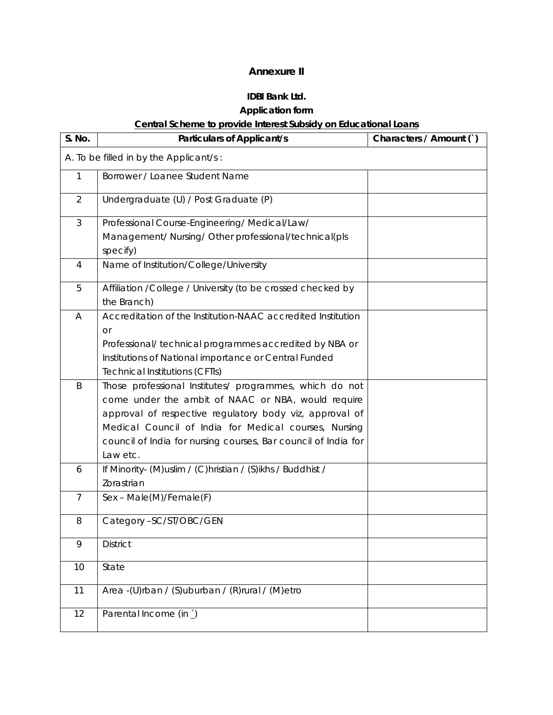### **Annexure II**

# **IDBI Bank Ltd.**

# **Application form**

# **Central Scheme to provide Interest Subsidy on Educational Loans**

| S. No.         | <b>Particulars of Applicant/s</b>                                                                                                                                                                                                                                                                               | Characters / Amount () |
|----------------|-----------------------------------------------------------------------------------------------------------------------------------------------------------------------------------------------------------------------------------------------------------------------------------------------------------------|------------------------|
|                | A. To be filled in by the Applicant/s:                                                                                                                                                                                                                                                                          |                        |
| 1              | Borrower / Loanee Student Name                                                                                                                                                                                                                                                                                  |                        |
| $\overline{2}$ | Undergraduate (U) / Post Graduate (P)                                                                                                                                                                                                                                                                           |                        |
| $\mathfrak{Z}$ | Professional Course-Engineering/Medical/Law/<br>Management/ Nursing/ Other professional/technical(pls<br>specify)                                                                                                                                                                                               |                        |
| 4              | Name of Institution/College/University                                                                                                                                                                                                                                                                          |                        |
| 5              | Affiliation /College / University (to be crossed checked by<br>the Branch)                                                                                                                                                                                                                                      |                        |
| A              | Accreditation of the Institution-NAAC accredited Institution<br><b>or</b><br>Professional/ technical programmes accredited by NBA or<br>Institutions of National importance or Central Funded<br><b>Technical Institutions (CFTIs)</b>                                                                          |                        |
| B              | Those professional Institutes/ programmes, which do not<br>come under the ambit of NAAC or NBA, would require<br>approval of respective regulatory body viz, approval of<br>Medical Council of India for Medical courses, Nursing<br>council of India for nursing courses, Bar council of India for<br>Law etc. |                        |
| 6              | If Minority- (M) uslim / (C) hristian / (S) ikhs / Buddhist /<br>Zorastrian                                                                                                                                                                                                                                     |                        |
| $\overline{7}$ | Sex - Male(M)/Female(F)                                                                                                                                                                                                                                                                                         |                        |
| 8              | Category -SC/ST/OBC/GEN                                                                                                                                                                                                                                                                                         |                        |
| 9              | <b>District</b>                                                                                                                                                                                                                                                                                                 |                        |
| 10             | State                                                                                                                                                                                                                                                                                                           |                        |
| 11             | Area -(U)rban / (S)uburban / (R)rural / (M)etro                                                                                                                                                                                                                                                                 |                        |
| 12             | Parental Income (in)                                                                                                                                                                                                                                                                                            |                        |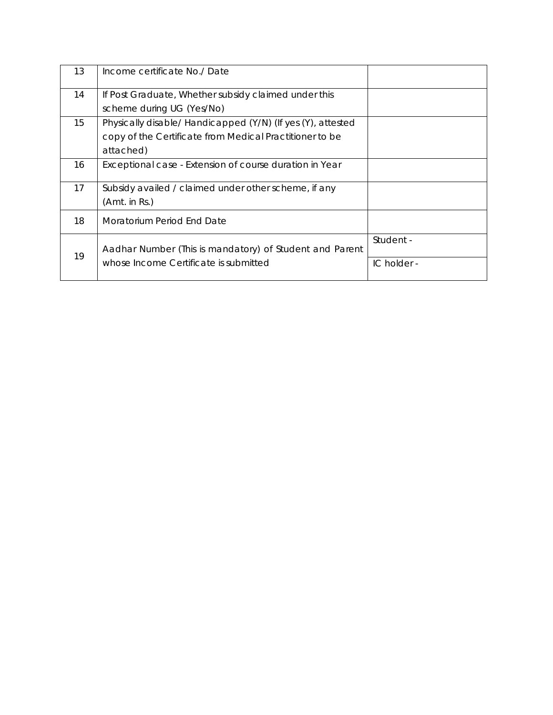| 13 | Income certificate No./ Date                                |             |
|----|-------------------------------------------------------------|-------------|
| 14 | If Post Graduate, Whether subsidy claimed under this        |             |
|    | scheme during UG (Yes/No)                                   |             |
| 15 | Physically disable/ Handicapped (Y/N) (If yes (Y), attested |             |
|    | copy of the Certificate from Medical Practitioner to be     |             |
|    | attached)                                                   |             |
| 16 | Exceptional case - Extension of course duration in Year     |             |
| 17 | Subsidy availed / claimed under other scheme, if any        |             |
|    | (Amt. in Rs.)                                               |             |
| 18 | Moratorium Period End Date                                  |             |
| 19 | Aadhar Number (This is mandatory) of Student and Parent     | Student -   |
|    | whose Income Certificate is submitted                       | IC holder - |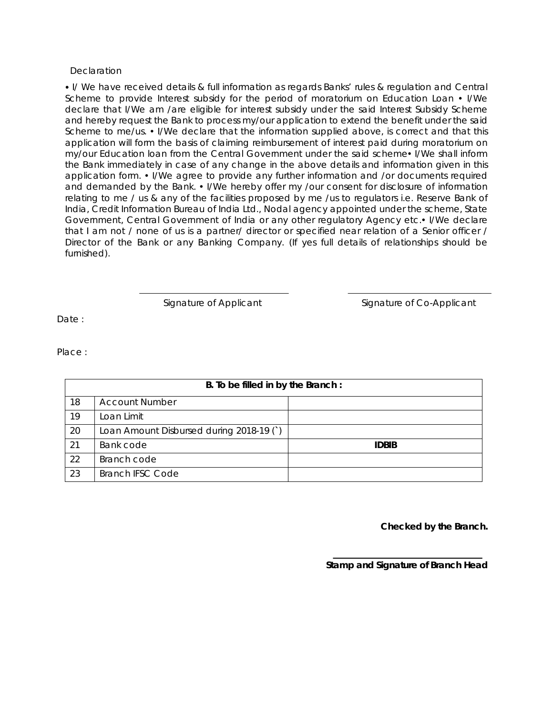#### **Declaration**

 I/ We have received details & full information as regards Banks' rules & regulation and Central Scheme to provide Interest subsidy for the period of moratorium on Education Loan  $\cdot$  I/We declare that I/We am /are eligible for interest subsidy under the said Interest Subsidy Scheme and hereby request the Bank to process my/our application to extend the benefit under the said Scheme to me/us. • I/We declare that the information supplied above, is correct and that this application will form the basis of claiming reimbursement of interest paid during moratorium on my/our Education loan from the Central Government under the said scheme• I/We shall inform the Bank immediately in case of any change in the above details and information given in this application form. • I/We agree to provide any further information and /or documents required and demanded by the Bank. • I/We hereby offer my /our consent for disclosure of information relating to me / us & any of the facilities proposed by me /us to regulators i.e. Reserve Bank of India, Credit Information Bureau of India Ltd., Nodal agency appointed under the scheme, State Government, Central Government of India or any other regulatory Agency etc. I/We declare that I am not / none of us is a partner/ director or specified near relation of a Senior officer / Director of the Bank or any Banking Company. (If yes full details of relationships should be furnished).

Signature of Applicant Signature of Co-Applicant

Date :

Place :

|    | B. To be filled in by the Branch:        |              |  |  |
|----|------------------------------------------|--------------|--|--|
| 18 | <b>Account Number</b>                    |              |  |  |
| 19 | Loan Limit                               |              |  |  |
| 20 | Loan Amount Disbursed during 2018-19 (`) |              |  |  |
| 21 | Bank code                                | <b>IDBIB</b> |  |  |
| 22 | Branch code                              |              |  |  |
| 23 | <b>Branch IFSC Code</b>                  |              |  |  |

**Checked by the Branch.** 

**Stamp and Signature of Branch Head**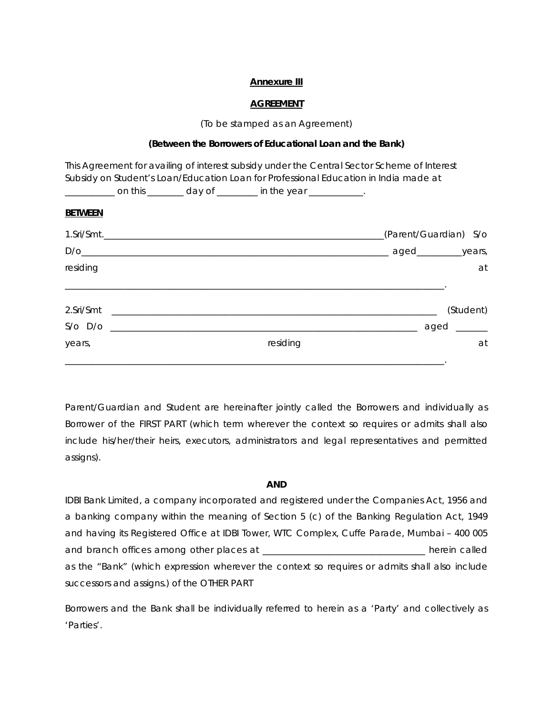#### **Annexure III**

#### **AGREEMENT**

(To be stamped as an Agreement)

#### **(Between the Borrowers of Educational Loan and the Bank)**

|                |  |                                                                            | This Agreement for availing of interest subsidy under the Central Sector Scheme of Interest |
|----------------|--|----------------------------------------------------------------------------|---------------------------------------------------------------------------------------------|
|                |  |                                                                            | Subsidy on Student's Loan/Education Loan for Professional Education in India made at        |
|                |  | _____________ on this _________ day of _________ in the year ____________. |                                                                                             |
| <b>BETWEEN</b> |  |                                                                            |                                                                                             |
|                |  |                                                                            | (Parent/Guardian) S/o                                                                       |
|                |  |                                                                            |                                                                                             |
| residing       |  |                                                                            | at                                                                                          |
|                |  |                                                                            |                                                                                             |
|                |  |                                                                            | (Student)                                                                                   |
|                |  |                                                                            |                                                                                             |
| years,         |  | residing                                                                   | at                                                                                          |
|                |  |                                                                            |                                                                                             |

Parent/Guardian and Student are hereinafter jointly called the Borrowers and individually as Borrower of the FIRST PART (which term wherever the context so requires or admits shall also include his/her/their heirs, executors, administrators and legal representatives and permitted assigns).

#### **AND**

IDBI Bank Limited, a company incorporated and registered under the Companies Act, 1956 and a banking company within the meaning of Section 5 (c) of the Banking Regulation Act, 1949 and having its Registered Office at IDBI Tower, WTC Complex, Cuffe Parade, Mumbai – 400 005 and branch offices among other places at \_\_\_\_\_\_\_\_\_\_\_\_\_\_\_\_\_\_\_\_\_\_\_\_\_\_\_\_\_\_\_\_\_\_\_\_ herein called as the "Bank" (which expression wherever the context so requires or admits shall also include successors and assigns.) of the OTHER PART

Borrowers and the Bank shall be individually referred to herein as a 'Party' and collectively as 'Parties'.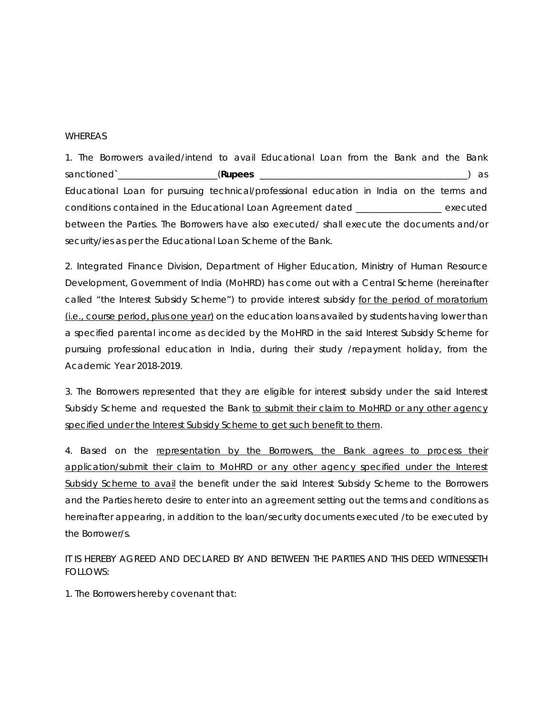#### WHEREAS

1. The Borrowers availed/intend to avail Educational Loan from the Bank and the Bank sanctioned**`**\_\_\_\_\_\_\_\_\_\_\_\_\_\_\_\_\_\_\_\_\_\_(**Rupees** \_\_\_\_\_\_\_\_\_\_\_\_\_\_\_\_\_\_\_\_\_\_\_\_\_\_\_\_\_\_\_\_\_\_\_\_\_\_\_\_\_\_\_\_\_\_) as Educational Loan for pursuing technical/professional education in India on the terms and conditions contained in the Educational Loan Agreement dated \_\_\_\_\_\_\_\_\_\_\_\_\_\_\_\_\_\_\_ executed between the Parties. The Borrowers have also executed/ shall execute the documents and/or security/ies as per the Educational Loan Scheme of the Bank.

2. Integrated Finance Division, Department of Higher Education, Ministry of Human Resource Development, Government of India (MoHRD) has come out with a Central Scheme (hereinafter called "the Interest Subsidy Scheme") to provide interest subsidy for the period of moratorium (i.e., course period, plus one year) on the education loans availed by students having lower than a specified parental income as decided by the MoHRD in the said Interest Subsidy Scheme for pursuing professional education in India, during their study /repayment holiday, from the Academic Year 2018-2019.

3. The Borrowers represented that they are eligible for interest subsidy under the said Interest Subsidy Scheme and requested the Bank to submit their claim to MoHRD or any other agency specified under the Interest Subsidy Scheme to get such benefit to them.

4. Based on the representation by the Borrowers, the Bank agrees to process their application/submit their claim to MoHRD or any other agency specified under the Interest Subsidy Scheme to avail the benefit under the said Interest Subsidy Scheme to the Borrowers and the Parties hereto desire to enter into an agreement setting out the terms and conditions as hereinafter appearing, in addition to the loan/security documents executed /to be executed by the Borrower/s.

IT IS HEREBY AGREED AND DECLARED BY AND BETWEEN THE PARTIES AND THIS DEED WITNESSETH FOLLOWS:

1. The Borrowers hereby covenant that: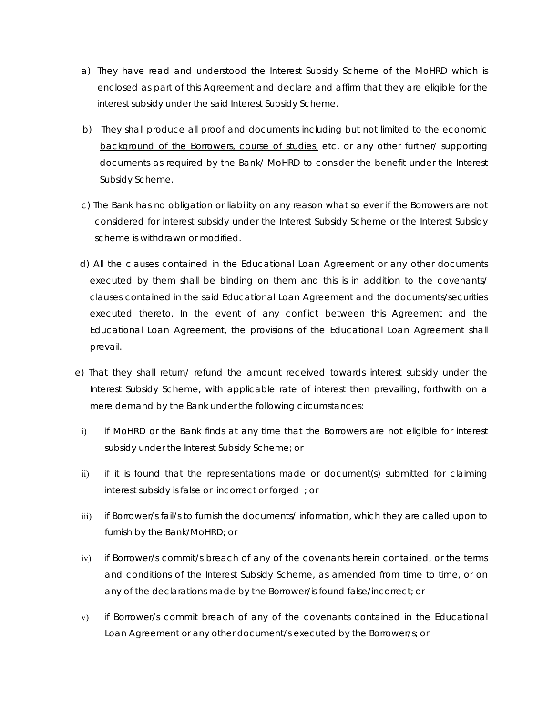- a) They have read and understood the Interest Subsidy Scheme of the MoHRD which is enclosed as part of this Agreement and declare and affirm that they are eligible for the interest subsidy under the said Interest Subsidy Scheme.
- b) They shall produce all proof and documents including but not limited to the economic background of the Borrowers, course of studies, etc. or any other further/ supporting documents as required by the Bank/ MoHRD to consider the benefit under the Interest Subsidy Scheme.
- c) The Bank has no obligation or liability on any reason what so ever if the Borrowers are not considered for interest subsidy under the Interest Subsidy Scheme or the Interest Subsidy scheme is withdrawn or modified.
- d) All the clauses contained in the Educational Loan Agreement or any other documents executed by them shall be binding on them and this is in addition to the covenants/ clauses contained in the said Educational Loan Agreement and the documents/securities executed thereto. In the event of any conflict between this Agreement and the Educational Loan Agreement, the provisions of the Educational Loan Agreement shall prevail.
- e) That they shall return/ refund the amount received towards interest subsidy under the Interest Subsidy Scheme, with applicable rate of interest then prevailing, forthwith on a mere demand by the Bank under the following circumstances:
	- i) if MoHRD or the Bank finds at any time that the Borrowers are not eligible for interest subsidy under the Interest Subsidy Scheme; or
	- ii) if it is found that the representations made or document(s) submitted for claiming interest subsidy is false or incorrect or forged ; or
	- iii) if Borrower/s fail/s to furnish the documents/ information, which they are called upon to furnish by the Bank/MoHRD; or
	- iv) if Borrower/s commit/s breach of any of the covenants herein contained, or the terms and conditions of the Interest Subsidy Scheme, as amended from time to time, or on any of the declarations made by the Borrower/is found false/incorrect; or
	- v) if Borrower/s commit breach of any of the covenants contained in the Educational Loan Agreement or any other document/s executed by the Borrower/s; or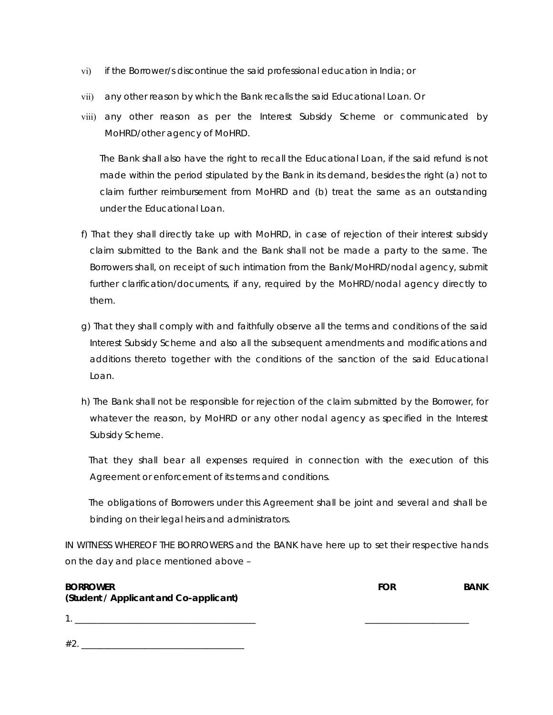- vi) if the Borrower/s discontinue the said professional education in India; or
- vii) any other reason by which the Bank recalls the said Educational Loan. Or
- viii) any other reason as per the Interest Subsidy Scheme or communicated by MoHRD/other agency of MoHRD.

The Bank shall also have the right to recall the Educational Loan, if the said refund is not made within the period stipulated by the Bank in its demand, besides the right (a) not to claim further reimbursement from MoHRD and (b) treat the same as an outstanding under the Educational Loan.

- f) That they shall directly take up with MoHRD, in case of rejection of their interest subsidy claim submitted to the Bank and the Bank shall not be made a party to the same. The Borrowers shall, on receipt of such intimation from the Bank/MoHRD/nodal agency, submit further clarification/documents, if any, required by the MoHRD/nodal agency directly to them.
- g) That they shall comply with and faithfully observe all the terms and conditions of the said Interest Subsidy Scheme and also all the subsequent amendments and modifications and additions thereto together with the conditions of the sanction of the said Educational Loan.
- h) The Bank shall not be responsible for rejection of the claim submitted by the Borrower, for whatever the reason, by MoHRD or any other nodal agency as specified in the Interest Subsidy Scheme.

 That they shall bear all expenses required in connection with the execution of this Agreement or enforcement of its terms and conditions.

 The obligations of Borrowers under this Agreement shall be joint and several and shall be binding on their legal heirs and administrators.

IN WITNESS WHEREOF THE BORROWERS and the BANK have here up to set their respective hands on the day and place mentioned above –

| <b>BORROWER</b>                        | FOR | <b>BANK</b> |
|----------------------------------------|-----|-------------|
| (Student / Applicant and Co-applicant) |     |             |
|                                        |     |             |
|                                        |     |             |

#2. \_\_\_\_\_\_\_\_\_\_\_\_\_\_\_\_\_\_\_\_\_\_\_\_\_\_\_\_\_\_\_\_\_\_\_\_